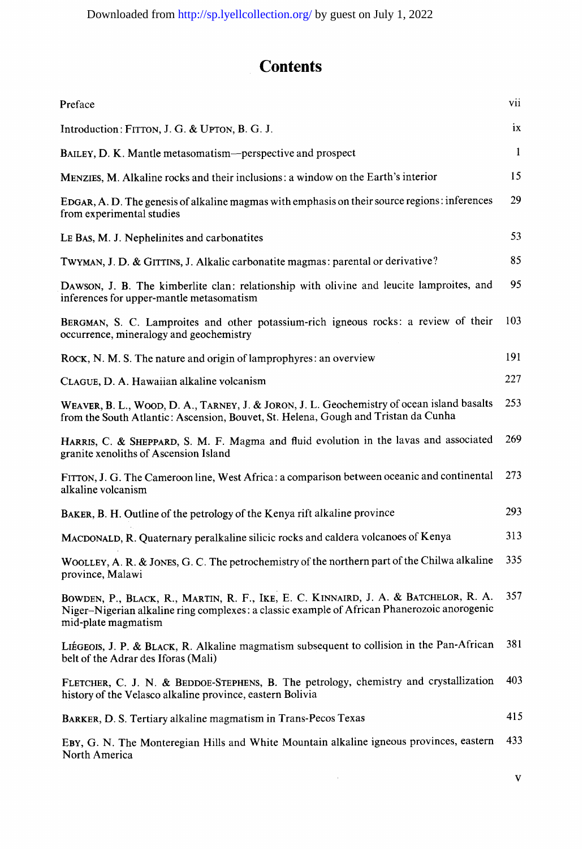## **Contents**

| Preface                                                                                                                                                                                                   | VII          |
|-----------------------------------------------------------------------------------------------------------------------------------------------------------------------------------------------------------|--------------|
| Introduction: FITTON, J. G. & UPTON, B. G. J.                                                                                                                                                             | 1X           |
| BAILEY, D. K. Mantle metasomatism—perspective and prospect                                                                                                                                                | $\mathbf{1}$ |
| MENZIES, M. Alkaline rocks and their inclusions: a window on the Earth's interior                                                                                                                         | 15           |
| EDGAR, A. D. The genesis of alkaline magmas with emphasis on their source regions: inferences<br>from experimental studies                                                                                | 29           |
| Le Bas, M. J. Nephelinites and carbonatites                                                                                                                                                               | 53           |
| TWYMAN, J. D. & GITTINS, J. Alkalic carbonatite magmas: parental or derivative?                                                                                                                           | 85           |
| DAWSON, J. B. The kimberlite clan: relationship with olivine and leucite lamproites, and<br>inferences for upper-mantle metasomatism                                                                      | 95           |
| BERGMAN, S. C. Lamproites and other potassium-rich igneous rocks: a review of their<br>occurrence, mineralogy and geochemistry                                                                            | 103          |
| ROCK, N. M. S. The nature and origin of lamprophyres: an overview                                                                                                                                         | 191          |
| CLAGUE, D. A. Hawaiian alkaline volcanism                                                                                                                                                                 | 227          |
| WEAVER, B. L., WOOD, D. A., TARNEY, J. & JORON, J. L. Geochemistry of ocean island basalts<br>from the South Atlantic: Ascension, Bouvet, St. Helena, Gough and Tristan da Cunha                          | 253          |
| HARRIS, C. & SHEPPARD, S. M. F. Magma and fluid evolution in the lavas and associated<br>granite xenoliths of Ascension Island                                                                            | 269          |
| FITTON, J. G. The Cameroon line, West Africa: a comparison between oceanic and continental<br>alkaline volcanism                                                                                          | 273          |
| BAKER, B. H. Outline of the petrology of the Kenya rift alkaline province                                                                                                                                 | 293          |
| MACDONALD, R. Quaternary peralkaline silicic rocks and caldera volcanoes of Kenya                                                                                                                         | 313          |
| WOOLLEY, A. R. & JONES, G. C. The petrochemistry of the northern part of the Chilwa alkaline<br>province, Malawi                                                                                          | 335          |
| BOWDEN, P., BLACK, R., MARTIN, R. F., IKE, E. C. KINNAIRD, J. A. & BATCHELOR, R. A.<br>Niger-Nigerian alkaline ring complexes: a classic example of African Phanerozoic anorogenic<br>mid-plate magmatism | 357          |
| LIÉGEOIS, J. P. & BLACK, R. Alkaline magmatism subsequent to collision in the Pan-African<br>belt of the Adrar des Iforas (Mali)                                                                          | 381          |
| FLETCHER, C. J. N. & BEDDOE-STEPHENS, B. The petrology, chemistry and crystallization<br>history of the Velasco alkaline province, eastern Bolivia                                                        | 403          |
| BARKER, D. S. Tertiary alkaline magmatism in Trans-Pecos Texas                                                                                                                                            | 415          |
| EBY, G. N. The Monteregian Hills and White Mountain alkaline igneous provinces, eastern<br>North America                                                                                                  | 433          |

 $\mathbf{v}$